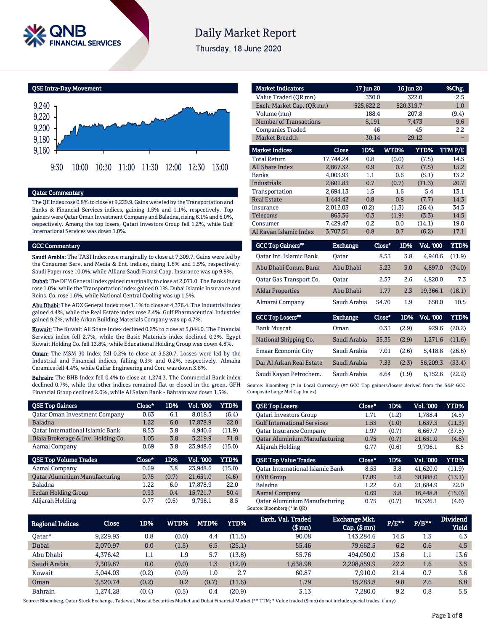

# **Daily Market Report**

Thursday, 18 June 2020

QSE Intra-Day Movement



### Qatar Commentary

The QE Index rose 0.8% to close at 9,229.9. Gains were led by the Transportation and Banks & Financial Services indices, gaining 1.5% and 1.1%, respectively. Top gainers were Qatar Oman Investment Company and Baladna, rising 6.1% and 6.0%, respectively. Among the top losers, Qatari Investors Group fell 1.2%, while Gulf International Services was down 1.0%.

#### GCC Commentary

Saudi Arabia: The TASI Index rose marginally to close at 7,309.7. Gains were led by the Consumer Serv. and Media & Ent. indices, rising 1.6% and 1.5%, respectively. Saudi Paper rose 10.0%, while Allianz Saudi Fransi Coop. Insurance was up 9.9%.

Dubai: The DFM General Index gained marginally to close at 2,071.0. The Banks index rose 1.0%, while the Transportation index gained 0.1%. Dubai Islamic Insurance and Reins. Co. rose 1.6%, while National Central Cooling was up 1.5%.

Abu Dhabi: The ADX General Index rose 1.1% to close at 4,376.4. The Industrial index gained 4.4%, while the Real Estate index rose 2.4%. Gulf Pharmaceutical Industries gained 9.2%, while Arkan Building Materials Company was up 4.7%.

Kuwait: The Kuwait All Share Index declined 0.2% to close at 5,044.0. The Financial Services index fell 2.7%, while the Basic Materials index declined 0.3%. Egypt Kuwait Holding Co. fell 13.8%, while Educational Holding Group was down 4.8%.

Oman: The MSM 30 Index fell 0.2% to close at 3,520.7. Losses were led by the Industrial and Financial indices, falling 0.3% and 0.2%, respectively. Almaha Ceramics fell 4.4%, while Galfar Engineering and Con. was down 3.8%.

Bahrain: The BHB Index fell 0.4% to close at 1,274.3. The Commercial Bank index declined 0.7%, while the other indices remained flat or closed in the green. GFH Financial Group declined 2.0%, while Al Salam Bank - Bahrain was down 1.5%.

| <b>QSE Top Gainers</b>                  | Close* | 1D%   | <b>Vol. '000</b> | YTD%   |
|-----------------------------------------|--------|-------|------------------|--------|
| <b>Qatar Oman Investment Company</b>    | 0.63   | 6.1   | 8.018.3          | (6.4)  |
| <b>Baladna</b>                          | 1.22   | 6.0   | 17,878.9         | 22.0   |
| <b>Oatar International Islamic Bank</b> | 8.53   | 3.8   | 4.940.6          | (11.9) |
| Dlala Brokerage & Inv. Holding Co.      | 1.05   | 3.8   | 3.219.9          | 71.8   |
| Aamal Company                           | 0.69   | 3.8   | 23.948.6         | (15.0) |
|                                         |        |       |                  |        |
| <b>QSE Top Volume Trades</b>            | Close* | 1D%   | Vol. '000        | YTD%   |
| Aamal Company                           | 0.69   | 3.8   | 23.948.6         | (15.0) |
| <b>Qatar Aluminium Manufacturing</b>    | 0.75   | (0.7) | 21,651.0         | (4.6)  |
| <b>Baladna</b>                          | 1.22   | 6.0   | 17,878.9         | 22.0   |
| <b>Ezdan Holding Group</b>              | 0.93   | 0.4   | 15,721.7         | 50.4   |

| <b>Market Indicators</b>      |           | 17 Jun 20 |       | 16 Jun 20 | %Chg.  |
|-------------------------------|-----------|-----------|-------|-----------|--------|
| Value Traded (QR mn)          | 330.0     |           | 2.5   |           |        |
| Exch. Market Cap. (QR mn)     |           | 525,622.2 |       | 520,319.7 | 1.0    |
| Volume (mn)                   |           | 188.4     |       | 207.8     | (9.4)  |
| <b>Number of Transactions</b> |           | 8,191     |       | 7,473     | 9.6    |
| <b>Companies Traded</b>       |           | 46        |       | 45        | 2.2    |
| <b>Market Breadth</b>         |           | 30:14     |       | 29:12     |        |
| <b>Market Indices</b>         | Close     | 1D%       | WTD%  | YTD%      | TTMP/E |
| <b>Total Return</b>           | 17,744.24 | 0.8       | (0.0) | (7.5)     | 14.5   |
| <b>All Share Index</b>        | 2,867.32  | 0.9       | 0.2   | (7.5)     | 15.2   |
| <b>Banks</b>                  | 4,003.93  | 1.1       | 0.6   | (5.1)     | 13.2   |
| <b>Industrials</b>            | 2.601.85  | 0.7       | (0.7) | (11.3)    | 20.7   |
| Transportation                | 2.694.13  | 1.5       | 1.6   | 5.4       | 13.1   |
| <b>Real Estate</b>            | 1,444.42  | 0.8       | 0.8   | (7.7)     | 14.3   |
| Insurance                     | 2,012.03  | (0.2)     | (1.3) | (26.4)    | 34.3   |
| Telecoms                      | 865.36    | 0.3       | (1.9) | (3.3)     | 14.5   |
| Consumer                      | 7,429.47  | 0.2       | 0.0   | (14.1)    | 19.0   |
| Al Rayan Islamic Index        | 3,707.51  | 0.8       | 0.7   | (6.2)     | 17.1   |
| -----<br>. .                  | - -       | --        | ----  | -- - ---- | ----   |

| <b>GCC Top Gainers**</b> | Exchange        | Close* | 1D%   | Vol. '000        | <b>YTD%</b> |
|--------------------------|-----------------|--------|-------|------------------|-------------|
| Oatar Int. Islamic Bank  | Oatar           | 8.53   | 3.8   | 4,940.6          | (11.9)      |
| Abu Dhabi Comm. Bank     | Abu Dhabi       | 5.23   | 3.0   | 4,897.0          | (34.0)      |
| Qatar Gas Transport Co.  | Oatar           | 2.57   | 2.6   | 4,820.0          | 7.3         |
| <b>Aldar Properties</b>  | Abu Dhabi       | 1.77   | 2.3   | 19,366.1         | (18.1)      |
| Almarai Company          | Saudi Arabia    | 54.70  | 1.9   | 650.0            | 10.5        |
|                          |                 |        |       |                  |             |
| <b>GCC Top Losers**</b>  | <b>Exchange</b> | Close* | 1D%   | <b>Vol. '000</b> | <b>YTD%</b> |
| <b>Bank Muscat</b>       | Oman            | 0.33   | (2.9) | 929.6            | (20.2)      |
| National Shipping Co.    | Saudi Arabia    | 35.35  | (2.9) | 1,271.6          | (11.6)      |
| Emaar Economic City      | Saudi Arabia    | 7.01   | (2.6) | 5,418.8          | (26.6)      |
| Dar Al Arkan Real Estate | Saudi Arabia    | 7.33   | (2.3) | 56,209.3         | (33.4)      |

Source: Bloomberg (# in Local Currency) (## GCC Top gainers/losers derived from the S&P GCC Composite Large Mid Cap Index)

| <b>QSE Top Losers</b>                   | Close* | 1D%   | <b>Vol. '000</b> | YTD%   |
|-----------------------------------------|--------|-------|------------------|--------|
| <b>Oatari Investors Group</b>           | 1.71   | (1.2) | 1,788.4          | (4.5)  |
| <b>Gulf International Services</b>      | 1.53   | (1.0) | 1.637.3          | (11.3) |
| <b>Oatar Insurance Company</b>          | 1.97   | (0.7) | 6.667.7          | (37.5) |
| <b>Qatar Aluminium Manufacturing</b>    | 0.75   | (0.7) | 21,651.0         | (4.6)  |
| Alijarah Holding                        | 0.77   | (0.6) | 9,796.1          | 8.5    |
| <b>OSE Top Value Trades</b>             | Close* | 1D%   | Val. '000        | YTD%   |
|                                         |        |       |                  |        |
| <b>Oatar International Islamic Bank</b> | 8.53   | 3.8   | 41.620.0         | (11.9) |
| <b>ONB</b> Group                        | 17.89  | 1.6   | 38,888.0         | (13.1) |
| Baladna                                 | 1.22   | 6.0   | 21.684.9         | 22.0   |
| <b>Aamal Company</b>                    | 0.69   | 3.8   | 16,448.8         | (15.0) |

| <b>Regional Indices</b> | <b>Close</b> | 1D%   | WTD%  | <b>MTD%</b> | YTD%   | Exch. Val. Traded<br>$$$ mm $)$ | <b>Exchange Mkt.</b><br>$Cap.$ (\$ $mn$ ) | P/E** | $P/B***$ | <b>Dividend</b><br><b>Yield</b> |
|-------------------------|--------------|-------|-------|-------------|--------|---------------------------------|-------------------------------------------|-------|----------|---------------------------------|
| Oatar*                  | 9.229.93     | 0.8   | (0.0) | 4.4         | (11.5) | 90.08                           | 143.284.6                                 | 14.5  | 1.3      | 4.3                             |
| Dubai                   | 2.070.97     | 0.0   | (1.5) | 6.5         | (25.1) | 55.46                           | 79.662.5                                  | 6.2   | 0.6      | 4.5                             |
| Abu Dhabi               | 4.376.42     | 1.1   | 1.9   | 5.7         | (13.8) | 55.76                           | 494.050.0                                 | 13.6  | 1.1      | 13.6                            |
| Saudi Arabia            | 7.309.67     | 0.0   | (0.0) | 1.3         | (12.9) | 1,638.98                        | 2,208,859.9                               | 22.2  | 1.6      | 3.5                             |
| Kuwait                  | 5.044.03     | (0.2) | (0.9) | 1.0         | 2.7    | 60.87                           | 7.910.0                                   | 21.4  | 0.7      | 3.6                             |
| Oman                    | 3.520.74     | (0.2) | 0.2   | (0.7)       | (11.6) | 1.79                            | 15,285.8                                  | 9.8   | 2.6      | 6.8                             |
| <b>Bahrain</b>          | 1.274.28     | (0.4) | (0.5) | 0.4         | (20.9) | 3.13                            | 7.280.0                                   | 9.2   | 0.8      | 5.5                             |

Source: Bloomberg, Qatar Stock Exchange, Tadawul, Muscat Securities Market and Dubai Financial Market (\*\* TTM; \* Value traded (\$ mn) do not include special trades, if any)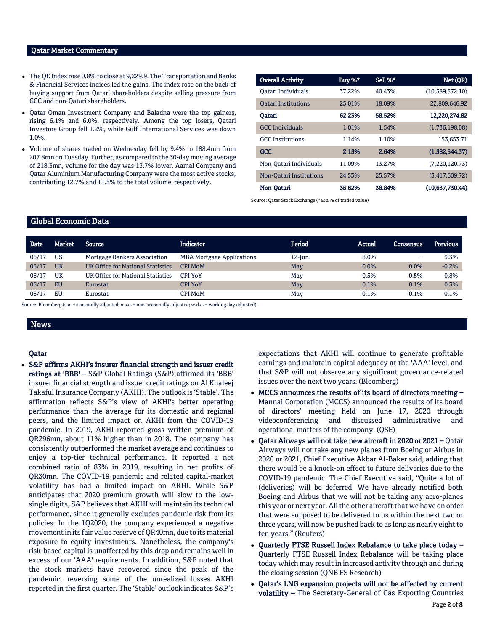#### Qatar Market Commentary

- The QE Index rose 0.8% to close at 9,229.9. The Transportation and Banks & Financial Services indices led the gains. The index rose on the back of buying support from Qatari shareholders despite selling pressure from GCC and non-Qatari shareholders.
- Qatar Oman Investment Company and Baladna were the top gainers, rising 6.1% and 6.0%, respectively. Among the top losers, Qatari Investors Group fell 1.2%, while Gulf International Services was down 1.0%.
- Volume of shares traded on Wednesday fell by 9.4% to 188.4mn from 207.8mn on Tuesday. Further, as compared to the 30-day moving average of 218.3mn, volume for the day was 13.7% lower. Aamal Company and Qatar Aluminium Manufacturing Company were the most active stocks, contributing 12.7% and 11.5% to the total volume, respectively.

| <b>Overall Activity</b>    | Buy %* | Sell %* | Net (QR)        |
|----------------------------|--------|---------|-----------------|
| Oatari Individuals         | 37.22% | 40.43%  | (10,589,372,10) |
| <b>Oatari Institutions</b> | 25.01% | 18.09%  | 22,809,646.92   |
| Oatari                     | 62.23% | 58.52%  | 12,220,274.82   |
| <b>GCC</b> Individuals     | 1.01%  | 1.54%   | (1.736.198.08)  |
| <b>GCC</b> Institutions    | 1.14%  | 1.10%   | 153.653.71      |
| <b>GCC</b>                 | 2.15%  | 2.64%   | (1,582,544.37)  |
| Non-Qatari Individuals     | 11.09% | 13.27%  | (7,220,120.73)  |
| Non-Oatari Institutions    | 24.53% | 25.57%  | (3,417,609.72)  |
| Non-Qatari                 | 35.62% | 38.84%  | (10.637.730.44) |

Source: Qatar Stock Exchange (\*as a % of traded value)

## Global Economic Data

| Date  | Market    | <b>Source</b>                            | <b>Indicator</b>                 | Period    | Actual  | <b>Consensus</b> | <b>Previous</b> |
|-------|-----------|------------------------------------------|----------------------------------|-----------|---------|------------------|-----------------|
| 06/17 | US        | Mortgage Bankers Association             | <b>MBA Mortgage Applications</b> | $12$ -Jun | 8.0%    | -                | 9.3%            |
| 06/17 | <b>UK</b> | <b>UK Office for National Statistics</b> | <b>CPI MoM</b>                   | May       | 0.0%    | 0.0%             | $-0.2%$         |
| 06/17 | UK        | UK Office for National Statistics        | <b>CPI YoY</b>                   | May       | 0.5%    | 0.5%             | 0.8%            |
| 06/17 | <b>EU</b> | Eurostat                                 | CPI YoY                          | May       | 0.1%    | 0.1%             | 0.3%            |
| 06/17 | EU        | Eurostat                                 | CPI MoM                          | May       | $-0.1%$ | $-0.1%$          | $-0.1%$         |

Source: Bloomberg (s.a. = seasonally adjusted; n.s.a. = non-seasonally adjusted; w.d.a. = working day adjusted)

# News

### Qatar

 S&P affirms AKHI's insurer financial strength and issuer credit ratings at 'BBB' – S&P Global Ratings (S&P) affirmed its 'BBB' insurer financial strength and issuer credit ratings on Al Khaleej Takaful Insurance Company (AKHI). The outlook is 'Stable'. The affirmation reflects S&P's view of AKHI's better operating performance than the average for its domestic and regional peers, and the limited impact on AKHI from the COVID-19 pandemic. In 2019, AKHI reported gross written premium of QR296mn, about 11% higher than in 2018. The company has consistently outperformed the market average and continues to enjoy a top-tier technical performance. It reported a net combined ratio of 83% in 2019, resulting in net profits of QR30mn. The COVID-19 pandemic and related capital-market volatility has had a limited impact on AKHI. While S&P anticipates that 2020 premium growth will slow to the lowsingle digits, S&P believes that AKHI will maintain its technical performance, since it generally excludes pandemic risk from its policies. In the 1Q2020, the company experienced a negative movement in its fair value reserve of QR40mn, due to its material exposure to equity investments. Nonetheless, the company's risk-based capital is unaffected by this drop and remains well in excess of our 'AAA' requirements. In addition, S&P noted that the stock markets have recovered since the peak of the pandemic, reversing some of the unrealized losses AKHI reported in the first quarter. The 'Stable' outlook indicates S&P's expectations that AKHI will continue to generate profitable earnings and maintain capital adequacy at the 'AAA' level, and that S&P will not observe any significant governance-related issues over the next two years. (Bloomberg)

- MCCS announces the results of its board of directors meeting Mannai Corporation (MCCS) announced the results of its board of directors' meeting held on June 17, 2020 through videoconferencing and discussed administrative and operational matters of the company. (QSE)
- Qatar Airways will not take new aircraft in 2020 or 2021 Qatar Airways will not take any new planes from Boeing or Airbus in 2020 or 2021, Chief Executive Akbar Al-Baker said, adding that there would be a knock-on effect to future deliveries due to the COVID-19 pandemic. The Chief Executive said, "Quite a lot of (deliveries) will be deferred. We have already notified both Boeing and Airbus that we will not be taking any aero-planes this year or next year. All the other aircraft that we have on order that were supposed to be delivered to us within the next two or three years, will now be pushed back to as long as nearly eight to ten years." (Reuters)
- Quarterly FTSE Russell Index Rebalance to take place today Quarterly FTSE Russell Index Rebalance will be taking place today which may result in increased activity through and during the closing session (QNB FS Research)
- Qatar's LNG expansion projects will not be affected by current volatility – The Secretary-General of Gas Exporting Countries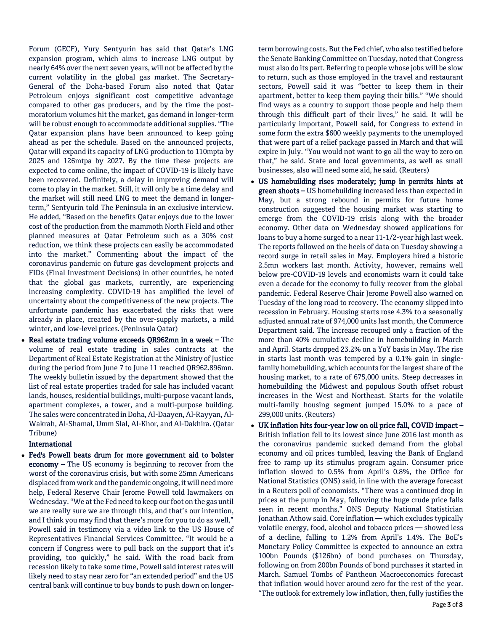Forum (GECF), Yury Sentyurin has said that Qatar's LNG expansion program, which aims to increase LNG output by nearly 64% over the next seven years, will not be affected by the current volatility in the global gas market. The Secretary-General of the Doha-based Forum also noted that Qatar Petroleum enjoys significant cost competitive advantage compared to other gas producers, and by the time the postmoratorium volumes hit the market, gas demand in longer-term will be robust enough to accommodate additional supplies. "The Qatar expansion plans have been announced to keep going ahead as per the schedule. Based on the announced projects, Qatar will expand its capacity of LNG production to 110mpta by 2025 and 126mtpa by 2027. By the time these projects are expected to come online, the impact of COVID-19 is likely have been recovered. Definitely, a delay in improving demand will come to play in the market. Still, it will only be a time delay and the market will still need LNG to meet the demand in longerterm," Sentyurin told The Peninsula in an exclusive interview. He added, "Based on the benefits Qatar enjoys due to the lower cost of the production from the mammoth North Field and other planned measures at Qatar Petroleum such as a 30% cost reduction, we think these projects can easily be accommodated into the market." Commenting about the impact of the coronavirus pandemic on future gas development projects and FIDs (Final Investment Decisions) in other countries, he noted that the global gas markets, currently, are experiencing increasing complexity. COVID-19 has amplified the level of uncertainty about the competitiveness of the new projects. The unfortunate pandemic has exacerbated the risks that were already in place, created by the over-supply markets, a mild winter, and low-level prices. (Peninsula Qatar)

 Real estate trading volume exceeds QR962mn in a week – The volume of real estate trading in sales contracts at the Department of Real Estate Registration at the Ministry of Justice during the period from June 7 to June 11 reached QR962.896mn. The weekly bulletin issued by the department showed that the list of real estate properties traded for sale has included vacant lands, houses, residential buildings, multi-purpose vacant lands, apartment complexes, a tower, and a multi-purpose building. The sales were concentrated in Doha, Al-Daayen, Al-Rayyan, Al-Wakrah, Al-Shamal, Umm Slal, Al-Khor, and Al-Dakhira. (Qatar Tribune)

### International

 Fed's Powell beats drum for more government aid to bolster economy – The US economy is beginning to recover from the worst of the coronavirus crisis, but with some 25mn Americans displaced from work and the pandemic ongoing, it will need more help, Federal Reserve Chair Jerome Powell told lawmakers on Wednesday. "We at the Fed need to keep our foot on the gas until we are really sure we are through this, and that's our intention, and I think you may find that there's more for you to do as well," Powell said in testimony via a video link to the US House of Representatives Financial Services Committee. "It would be a concern if Congress were to pull back on the support that it's providing, too quickly," he said. With the road back from recession likely to take some time, Powell said interest rates will likely need to stay near zero for "an extended period" and the US central bank will continue to buy bonds to push down on longerterm borrowing costs. But the Fed chief, who also testified before the Senate Banking Committee on Tuesday, noted that Congress must also do its part. Referring to people whose jobs will be slow to return, such as those employed in the travel and restaurant sectors, Powell said it was "better to keep them in their apartment, better to keep them paying their bills." "We should find ways as a country to support those people and help them through this difficult part of their lives," he said. It will be particularly important, Powell said, for Congress to extend in some form the extra \$600 weekly payments to the unemployed that were part of a relief package passed in March and that will expire in July. "You would not want to go all the way to zero on that," he said. State and local governments, as well as small businesses, also will need some aid, he said. (Reuters)

- US homebuilding rises moderately; jump in permits hints at green shoots – US homebuilding increased less than expected in May, but a strong rebound in permits for future home construction suggested the housing market was starting to emerge from the COVID-19 crisis along with the broader economy. Other data on Wednesday showed applications for loans to buy a home surged to a near 11-1/2-year high last week. The reports followed on the heels of data on Tuesday showing a record surge in retail sales in May. Employers hired a historic 2.5mn workers last month. Activity, however, remains well below pre-COVID-19 levels and economists warn it could take even a decade for the economy to fully recover from the global pandemic. Federal Reserve Chair Jerome Powell also warned on Tuesday of the long road to recovery. The economy slipped into recession in February. Housing starts rose 4.3% to a seasonally adjusted annual rate of 974,000 units last month, the Commerce Department said. The increase recouped only a fraction of the more than 40% cumulative decline in homebuilding in March and April. Starts dropped 23.2% on a YoY basis in May. The rise in starts last month was tempered by a 0.1% gain in singlefamily homebuilding, which accounts for the largest share of the housing market, to a rate of 675,000 units. Steep decreases in homebuilding the Midwest and populous South offset robust increases in the West and Northeast. Starts for the volatile multi-family housing segment jumped 15.0% to a pace of 299,000 units. (Reuters)
- UK inflation hits four-year low on oil price fall, COVID impact British inflation fell to its lowest since June 2016 last month as the coronavirus pandemic sucked demand from the global economy and oil prices tumbled, leaving the Bank of England free to ramp up its stimulus program again. Consumer price inflation slowed to 0.5% from April's 0.8%, the Office for National Statistics (ONS) said, in line with the average forecast in a Reuters poll of economists. "There was a continued drop in prices at the pump in May, following the huge crude price falls seen in recent months," ONS Deputy National Statistician Jonathan Athow said. Core inflation — which excludes typically volatile energy, food, alcohol and tobacco prices — showed less of a decline, falling to 1.2% from April's 1.4%. The BoE's Monetary Policy Committee is expected to announce an extra 100bn Pounds (\$126bn) of bond purchases on Thursday, following on from 200bn Pounds of bond purchases it started in March. Samuel Tombs of Pantheon Macroeconomics forecast that inflation would hover around zero for the rest of the year. "The outlook for extremely low inflation, then, fully justifies the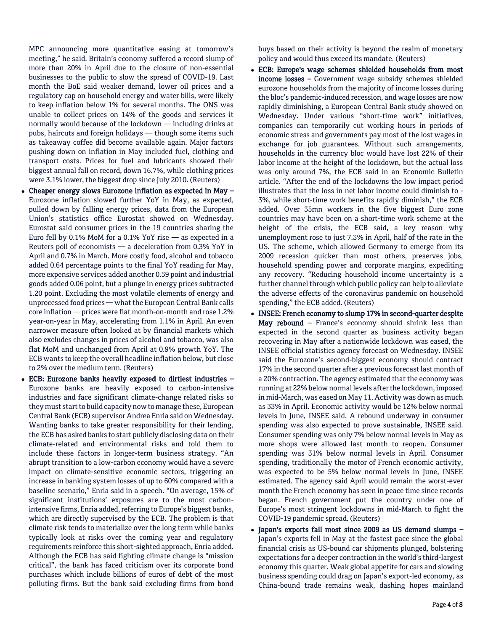MPC announcing more quantitative easing at tomorrow's meeting," he said. Britain's economy suffered a record slump of more than 20% in April due to the closure of non-essential businesses to the public to slow the spread of COVID-19. Last month the BoE said weaker demand, lower oil prices and a regulatory cap on household energy and water bills, were likely to keep inflation below 1% for several months. The ONS was unable to collect prices on 14% of the goods and services it normally would because of the lockdown — including drinks at pubs, haircuts and foreign holidays — though some items such as takeaway coffee did become available again. Major factors pushing down on inflation in May included fuel, clothing and transport costs. Prices for fuel and lubricants showed their biggest annual fall on record, down 16.7%, while clothing prices were 3.1% lower, the biggest drop since July 2010. (Reuters)

- Cheaper energy slows Eurozone inflation as expected in May Eurozone inflation slowed further YoY in May, as expected, pulled down by falling energy prices, data from the European Union's statistics office Eurostat showed on Wednesday. Eurostat said consumer prices in the 19 countries sharing the Euro fell by 0.1% MoM for a 0.1% YoY rise — as expected in a Reuters poll of economists — a deceleration from 0.3% YoY in April and 0.7% in March. More costly food, alcohol and tobacco added 0.64 percentage points to the final YoY reading for May, more expensive services added another 0.59 point and industrial goods added 0.06 point, but a plunge in energy prices subtracted 1.20 point. Excluding the most volatile elements of energy and unprocessed food prices — what the European Central Bank calls core inflation — prices were flat month-on-month and rose 1.2% year-on-year in May, accelerating from 1.1% in April. An even narrower measure often looked at by financial markets which also excludes changes in prices of alcohol and tobacco, was also flat MoM and unchanged from April at 0.9% growth YoY. The ECB wants to keep the overall headline inflation below, but close to 2% over the medium term. (Reuters)
- ECB: Eurozone banks heavily exposed to dirtiest industries Eurozone banks are heavily exposed to carbon-intensive industries and face significant climate-change related risks so they must start to build capacity now to manage these, European Central Bank (ECB) supervisor Andrea Enria said on Wednesday. Wanting banks to take greater responsibility for their lending, the ECB has asked banks to start publicly disclosing data on their climate-related and environmental risks and told them to include these factors in longer-term business strategy. "An abrupt transition to a low-carbon economy would have a severe impact on climate-sensitive economic sectors, triggering an increase in banking system losses of up to 60% compared with a baseline scenario," Enria said in a speech. "On average, 15% of significant institutions' exposures are to the most carbonintensive firms, Enria added, referring to Europe's biggest banks, which are directly supervised by the ECB. The problem is that climate risk tends to materialize over the long term while banks typically look at risks over the coming year and regulatory requirements reinforce this short-sighted approach, Enria added. Although the ECB has said fighting climate change is "mission critical", the bank has faced criticism over its corporate bond purchases which include billions of euros of debt of the most polluting firms. But the bank said excluding firms from bond

buys based on their activity is beyond the realm of monetary policy and would thus exceed its mandate. (Reuters)

- ECB: Europe's wage schemes shielded households from most income losses – Government wage subsidy schemes shielded eurozone households from the majority of income losses during the bloc's pandemic-induced recession, and wage losses are now rapidly diminishing, a European Central Bank study showed on Wednesday. Under various "short-time work" initiatives, companies can temporarily cut working hours in periods of economic stress and governments pay most of the lost wages in exchange for job guarantees. Without such arrangements, households in the currency bloc would have lost 22% of their labor income at the height of the lockdown, but the actual loss was only around 7%, the ECB said in an Economic Bulletin article. "After the end of the lockdowns the low impact period illustrates that the loss in net labor income could diminish to - 3%, while short-time work benefits rapidly diminish," the ECB added. Over 35mn workers in the five biggest Euro zone countries may have been on a short-time work scheme at the height of the crisis, the ECB said, a key reason why unemployment rose to just 7.3% in April, half of the rate in the US. The scheme, which allowed Germany to emerge from its 2009 recession quicker than most others, preserves jobs, household spending power and corporate margins, expediting any recovery. "Reducing household income uncertainty is a further channel through which public policy can help to alleviate the adverse effects of the coronavirus pandemic on household spending," the ECB added. (Reuters)
- INSEE: French economy to slump 17% in second-quarter despite May rebound - France's economy should shrink less than expected in the second quarter as business activity began recovering in May after a nationwide lockdown was eased, the INSEE official statistics agency forecast on Wednesday. INSEE said the Eurozone's second-biggest economy should contract 17% in the second quarter after a previous forecast last month of a 20% contraction. The agency estimated that the economy was running at 22% below normal levels after the lockdown, imposed in mid-March, was eased on May 11. Activity was down as much as 33% in April. Economic activity would be 12% below normal levels in June, INSEE said. A rebound underway in consumer spending was also expected to prove sustainable, INSEE said. Consumer spending was only 7% below normal levels in May as more shops were allowed last month to reopen. Consumer spending was 31% below normal levels in April. Consumer spending, traditionally the motor of French economic activity, was expected to be 5% below normal levels in June, INSEE estimated. The agency said April would remain the worst-ever month the French economy has seen in peace time since records began. French government put the country under one of Europe's most stringent lockdowns in mid-March to fight the COVID-19 pandemic spread. (Reuters)
- Japan's exports fall most since 2009 as US demand slumps -Japan's exports fell in May at the fastest pace since the global financial crisis as US-bound car shipments plunged, bolstering expectations for a deeper contraction in the world's third-largest economy this quarter. Weak global appetite for cars and slowing business spending could drag on Japan's export-led economy, as China-bound trade remains weak, dashing hopes mainland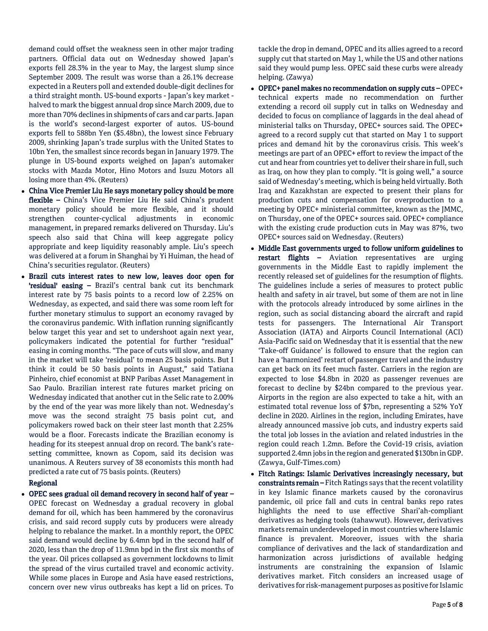demand could offset the weakness seen in other major trading partners. Official data out on Wednesday showed Japan's exports fell 28.3% in the year to May, the largest slump since September 2009. The result was worse than a 26.1% decrease expected in a Reuters poll and extended double-digit declines for a third straight month. US-bound exports - Japan's key market halved to mark the biggest annual drop since March 2009, due to more than 70% declines in shipments of cars and car parts. Japan is the world's second-largest exporter of autos. US-bound exports fell to 588bn Yen (\$5.48bn), the lowest since February 2009, shrinking Japan's trade surplus with the United States to 10bn Yen, the smallest since records began in January 1979. The plunge in US-bound exports weighed on Japan's automaker stocks with Mazda Motor, Hino Motors and Isuzu Motors all losing more than 4%. (Reuters)

- China Vice Premier Liu He says monetary policy should be more flexible – China's Vice Premier Liu He said China's prudent monetary policy should be more flexible, and it should strengthen counter-cyclical adjustments in economic management, in prepared remarks delivered on Thursday. Liu's speech also said that China will keep aggregate policy appropriate and keep liquidity reasonably ample. Liu's speech was delivered at a forum in Shanghai by Yi Huiman, the head of China's securities regulator. (Reuters)
- Brazil cuts interest rates to new low, leaves door open for 'residual' easing – Brazil's central bank cut its benchmark interest rate by 75 basis points to a record low of 2.25% on Wednesday, as expected, and said there was some room left for further monetary stimulus to support an economy ravaged by the coronavirus pandemic. With inflation running significantly below target this year and set to undershoot again next year, policymakers indicated the potential for further "residual" easing in coming months. "The pace of cuts will slow, and many in the market will take 'residual' to mean 25 basis points. But I think it could be 50 basis points in August," said Tatiana Pinheiro, chief economist at BNP Paribas Asset Management in Sao Paulo. Brazilian interest rate futures market pricing on Wednesday indicated that another cut in the Selic rate to 2.00% by the end of the year was more likely than not. Wednesday's move was the second straight 75 basis point cut, and policymakers rowed back on their steer last month that 2.25% would be a floor. Forecasts indicate the Brazilian economy is heading for its steepest annual drop on record. The bank's ratesetting committee, known as Copom, said its decision was unanimous. A Reuters survey of 38 economists this month had predicted a rate cut of 75 basis points. (Reuters)

### Regional

 OPEC sees gradual oil demand recovery in second half of year – OPEC forecast on Wednesday a gradual recovery in global demand for oil, which has been hammered by the coronavirus crisis, and said record supply cuts by producers were already helping to rebalance the market. In a monthly report, the OPEC said demand would decline by 6.4mn bpd in the second half of 2020, less than the drop of 11.9mn bpd in the first six months of the year. Oil prices collapsed as government lockdowns to limit the spread of the virus curtailed travel and economic activity. While some places in Europe and Asia have eased restrictions, concern over new virus outbreaks has kept a lid on prices. To

tackle the drop in demand, OPEC and its allies agreed to a record supply cut that started on May 1, while the US and other nations said they would pump less. OPEC said these curbs were already helping. (Zawya)

- OPEC+ panel makes no recommendation on supply cuts OPEC+ technical experts made no recommendation on further extending a record oil supply cut in talks on Wednesday and decided to focus on compliance of laggards in the deal ahead of ministerial talks on Thursday, OPEC+ sources said. The OPEC+ agreed to a record supply cut that started on May 1 to support prices and demand hit by the coronavirus crisis. This week's meetings are part of an OPEC+ effort to review the impact of the cut and hear from countries yet to deliver their share in full, such as Iraq, on how they plan to comply. "It is going well," a source said of Wednesday's meeting, which is being held virtually. Both Iraq and Kazakhstan are expected to present their plans for production cuts and compensation for overproduction to a meeting by OPEC+ ministerial committee, known as the JMMC, on Thursday, one of the OPEC+ sources said. OPEC+ compliance with the existing crude production cuts in May was 87%, two OPEC+ sources said on Wednesday. (Reuters)
- Middle East governments urged to follow uniform guidelines to restart flights - Aviation representatives are urging governments in the Middle East to rapidly implement the recently released set of guidelines for the resumption of flights. The guidelines include a series of measures to protect public health and safety in air travel, but some of them are not in line with the protocols already introduced by some airlines in the region, such as social distancing aboard the aircraft and rapid tests for passengers. The International Air Transport Association (IATA) and Airports Council International (ACI) Asia-Pacific said on Wednesday that it is essential that the new 'Take-off Guidance' is followed to ensure that the region can have a 'harmonized' restart of passenger travel and the industry can get back on its feet much faster. Carriers in the region are expected to lose \$4.8bn in 2020 as passenger revenues are forecast to decline by \$24bn compared to the previous year. Airports in the region are also expected to take a hit, with an estimated total revenue loss of \$7bn, representing a 52% YoY decline in 2020. Airlines in the region, including Emirates, have already announced massive job cuts, and industry experts said the total job losses in the aviation and related industries in the region could reach 1.2mn. Before the Covid-19 crisis, aviation supported 2.4mn jobs in the region and generated \$130bn in GDP. (Zawya, Gulf-Times.com)
- Fitch Ratings: Islamic Derivatives increasingly necessary, but constraints remain – Fitch Ratings says that the recent volatility in key Islamic finance markets caused by the coronavirus pandemic, oil price fall and cuts in central banks repo rates highlights the need to use effective Shari'ah-compliant derivatives as hedging tools (tahawwut). However, derivatives markets remain underdeveloped in most countries where Islamic finance is prevalent. Moreover, issues with the sharia compliance of derivatives and the lack of standardization and harmonization across jurisdictions of available hedging instruments are constraining the expansion of Islamic derivatives market. Fitch considers an increased usage of derivatives for risk-management purposes as positive for Islamic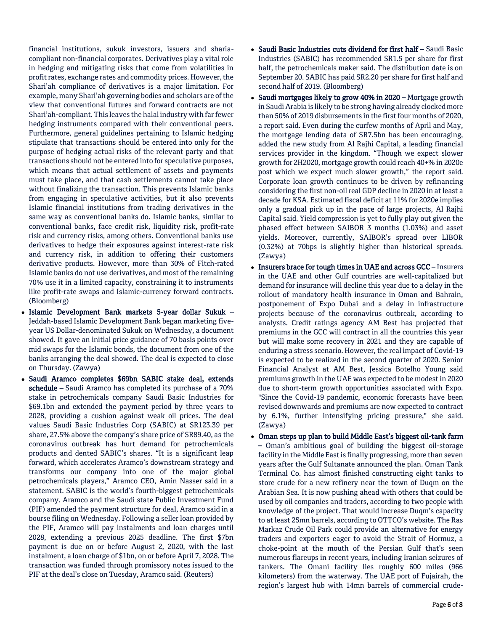financial institutions, sukuk investors, issuers and shariacompliant non-financial corporates. Derivatives play a vital role in hedging and mitigating risks that come from volatilities in profit rates, exchange rates and commodity prices. However, the Shari'ah compliance of derivatives is a major limitation. For example, many Shari'ah governing bodies and scholars are of the view that conventional futures and forward contracts are not Shari'ah-compliant. This leaves the halal industry with far fewer hedging instruments compared with their conventional peers. Furthermore, general guidelines pertaining to Islamic hedging stipulate that transactions should be entered into only for the purpose of hedging actual risks of the relevant party and that transactions should not be entered into for speculative purposes, which means that actual settlement of assets and payments must take place, and that cash settlements cannot take place without finalizing the transaction. This prevents Islamic banks from engaging in speculative activities, but it also prevents Islamic financial institutions from trading derivatives in the same way as conventional banks do. Islamic banks, similar to conventional banks, face credit risk, liquidity risk, profit-rate risk and currency risks, among others. Conventional banks use derivatives to hedge their exposures against interest-rate risk and currency risk, in addition to offering their customers derivative products. However, more than 30% of Fitch-rated Islamic banks do not use derivatives, and most of the remaining 70% use it in a limited capacity, constraining it to instruments like profit-rate swaps and Islamic-currency forward contracts. (Bloomberg)

- Islamic Development Bank markets 5-year dollar Sukuk Jeddah-based Islamic Development Bank began marketing fiveyear US Dollar-denominated Sukuk on Wednesday, a document showed. It gave an initial price guidance of 70 basis points over mid swaps for the Islamic bonds, the document from one of the banks arranging the deal showed. The deal is expected to close on Thursday. (Zawya)
- Saudi Aramco completes \$69bn SABIC stake deal, extends schedule – Saudi Aramco has completed its purchase of a 70% stake in petrochemicals company Saudi Basic Industries for \$69.1bn and extended the payment period by three years to 2028, providing a cushion against weak oil prices. The deal values Saudi Basic Industries Corp (SABIC) at SR123.39 per share, 27.5% above the company's share price of SR89.40, as the coronavirus outbreak has hurt demand for petrochemicals products and dented SABIC's shares. "It is a significant leap forward, which accelerates Aramco's downstream strategy and transforms our company into one of the major global petrochemicals players," Aramco CEO, Amin Nasser said in a statement. SABIC is the world's fourth-biggest petrochemicals company. Aramco and the Saudi state Public Investment Fund (PIF) amended the payment structure for deal, Aramco said in a bourse filing on Wednesday. Following a seller loan provided by the PIF, Aramco will pay instalments and loan charges until 2028, extending a previous 2025 deadline. The first \$7bn payment is due on or before August 2, 2020, with the last instalment, a loan charge of \$1bn, on or before April 7, 2028. The transaction was funded through promissory notes issued to the PIF at the deal's close on Tuesday, Aramco said. (Reuters)
- Saudi Basic Industries cuts dividend for first half Saudi Basic Industries (SABIC) has recommended SR1.5 per share for first half, the petrochemicals maker said. The distribution date is on September 20. SABIC has paid SR2.20 per share for first half and second half of 2019. (Bloomberg)
- Saudi mortgages likely to grow 40% in 2020 Mortgage growth in Saudi Arabia is likely to be strong having already clocked more than 50% of 2019 disbursements in the first four months of 2020, a report said. Even during the curfew months of April and May, the mortgage lending data of SR7.5bn has been encouraging, added the new study from Al Rajhi Capital, a leading financial services provider in the kingdom. "Though we expect slower growth for 2H2020, mortgage growth could reach 40+% in 2020e post which we expect much slower growth," the report said. Corporate loan growth continues to be driven by refinancing considering the first non-oil real GDP decline in 2020 in at least a decade for KSA. Estimated fiscal deficit at 11% for 2020e implies only a gradual pick up in the pace of large projects, Al Rajhi Capital said. Yield compression is yet to fully play out given the phased effect between SAIBOR 3 months (1.03%) and asset yields. Moreover, currently, SAIBOR's spread over LIBOR (0.32%) at 70bps is slightly higher than historical spreads. (Zawya)
- Insurers brace for tough times in UAE and across GCC Insurers in the UAE and other Gulf countries are well-capitalized but demand for insurance will decline this year due to a delay in the rollout of mandatory health insurance in Oman and Bahrain, postponement of Expo Dubai and a delay in infrastructure projects because of the coronavirus outbreak, according to analysts. Credit ratings agency AM Best has projected that premiums in the GCC will contract in all the countries this year but will make some recovery in 2021 and they are capable of enduring a stress scenario. However, the real impact of Covid-19 is expected to be realized in the second quarter of 2020. Senior Financial Analyst at AM Best, Jessica Botelho Young said premiums growth in the UAE was expected to be modest in 2020 due to short-term growth opportunities associated with Expo. "Since the Covid-19 pandemic, economic forecasts have been revised downwards and premiums are now expected to contract by 6.1%, further intensifying pricing pressure," she said. (Zawya)
- Oman steps up plan to build Middle East's biggest oil-tank farm – Oman's ambitious goal of building the biggest oil-storage facility in the Middle East is finally progressing, more than seven years after the Gulf Sultanate announced the plan. Oman Tank Terminal Co. has almost finished constructing eight tanks to store crude for a new refinery near the town of Duqm on the Arabian Sea. It is now pushing ahead with others that could be used by oil companies and traders, according to two people with knowledge of the project. That would increase Duqm's capacity to at least 25mn barrels, according to OTTCO's website. The Ras Markaz Crude Oil Park could provide an alternative for energy traders and exporters eager to avoid the Strait of Hormuz, a choke-point at the mouth of the Persian Gulf that's seen numerous flareups in recent years, including Iranian seizures of tankers. The Omani facility lies roughly 600 miles (966 kilometers) from the waterway. The UAE port of Fujairah, the region's largest hub with 14mn barrels of commercial crude-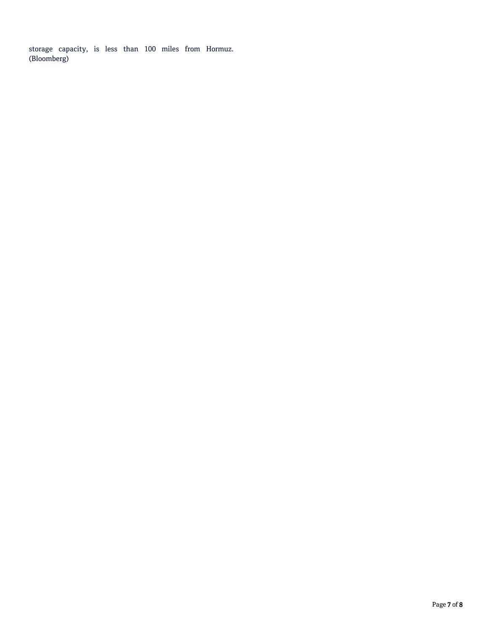storage capacity, is less than 100 miles from Hormuz. (Bloomberg)